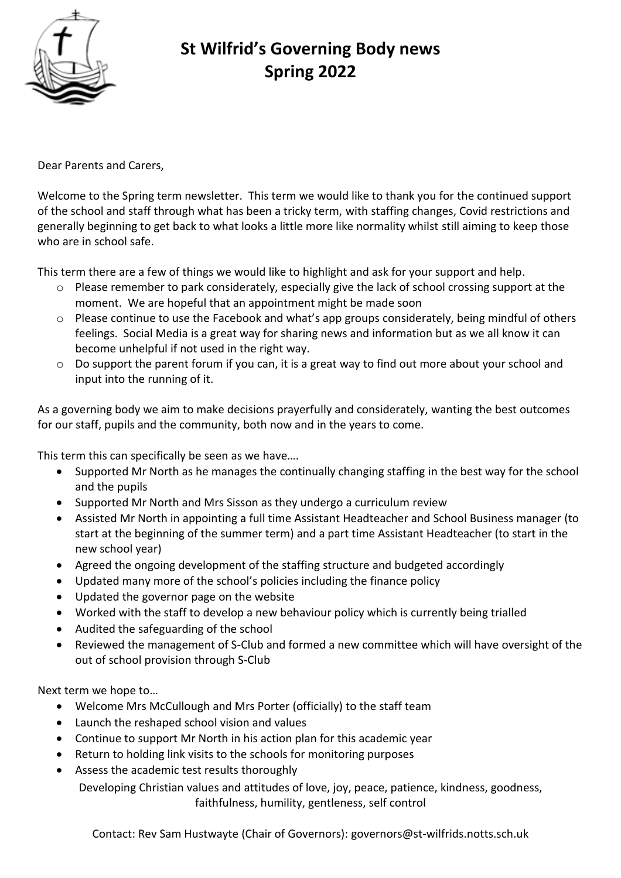

## **St Wilfrid's Governing Body news Spring 2022**

Dear Parents and Carers,

Welcome to the Spring term newsletter. This term we would like to thank you for the continued support of the school and staff through what has been a tricky term, with staffing changes, Covid restrictions and generally beginning to get back to what looks a little more like normality whilst still aiming to keep those who are in school safe.

This term there are a few of things we would like to highlight and ask for your support and help.

- o Please remember to park considerately, especially give the lack of school crossing support at the moment. We are hopeful that an appointment might be made soon
- o Please continue to use the Facebook and what's app groups considerately, being mindful of others feelings. Social Media is a great way for sharing news and information but as we all know it can become unhelpful if not used in the right way.
- $\circ$  Do support the parent forum if you can, it is a great way to find out more about your school and input into the running of it.

As a governing body we aim to make decisions prayerfully and considerately, wanting the best outcomes for our staff, pupils and the community, both now and in the years to come.

This term this can specifically be seen as we have….

- Supported Mr North as he manages the continually changing staffing in the best way for the school and the pupils
- Supported Mr North and Mrs Sisson as they undergo a curriculum review
- Assisted Mr North in appointing a full time Assistant Headteacher and School Business manager (to start at the beginning of the summer term) and a part time Assistant Headteacher (to start in the new school year)
- Agreed the ongoing development of the staffing structure and budgeted accordingly
- Updated many more of the school's policies including the finance policy
- Updated the governor page on the website
- Worked with the staff to develop a new behaviour policy which is currently being trialled
- Audited the safeguarding of the school
- Reviewed the management of S-Club and formed a new committee which will have oversight of the out of school provision through S-Club

Next term we hope to…

- Welcome Mrs McCullough and Mrs Porter (officially) to the staff team
- Launch the reshaped school vision and values
- Continue to support Mr North in his action plan for this academic year
- Return to holding link visits to the schools for monitoring purposes
- Assess the academic test results thoroughly

Developing Christian values and attitudes of love, joy, peace, patience, kindness, goodness, faithfulness, humility, gentleness, self control